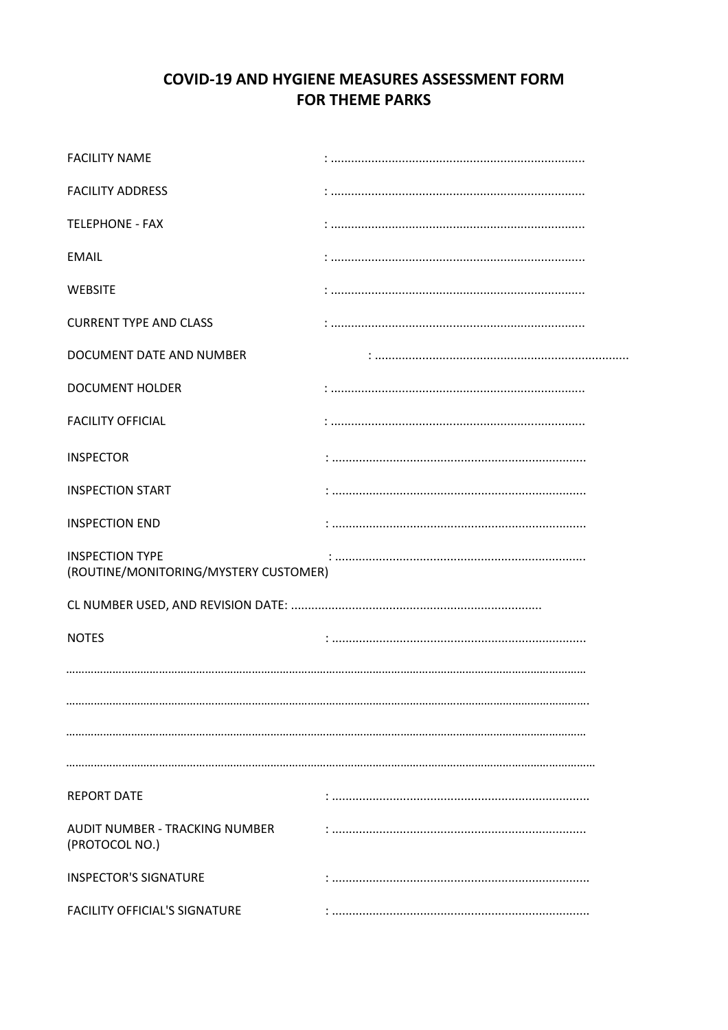# **COVID-19 AND HYGIENE MEASURES ASSESSMENT FORM FOR THEME PARKS**

| <b>FACILITY NAME</b>                                            |  |
|-----------------------------------------------------------------|--|
| <b>FACILITY ADDRESS</b>                                         |  |
| <b>TELEPHONE - FAX</b>                                          |  |
| <b>EMAIL</b>                                                    |  |
| <b>WEBSITE</b>                                                  |  |
| <b>CURRENT TYPE AND CLASS</b>                                   |  |
| DOCUMENT DATE AND NUMBER                                        |  |
| <b>DOCUMENT HOLDER</b>                                          |  |
| <b>FACILITY OFFICIAL</b>                                        |  |
| <b>INSPECTOR</b>                                                |  |
| <b>INSPECTION START</b>                                         |  |
| <b>INSPECTION END</b>                                           |  |
| <b>INSPECTION TYPE</b><br>(ROUTINE/MONITORING/MYSTERY CUSTOMER) |  |
|                                                                 |  |
| <b>NOTES</b>                                                    |  |
|                                                                 |  |
|                                                                 |  |
|                                                                 |  |
|                                                                 |  |
| <b>REPORT DATE</b>                                              |  |
| AUDIT NUMBER - TRACKING NUMBER<br>(PROTOCOL NO.)                |  |
| <b>INSPECTOR'S SIGNATURE</b>                                    |  |
| <b>FACILITY OFFICIAL'S SIGNATURE</b>                            |  |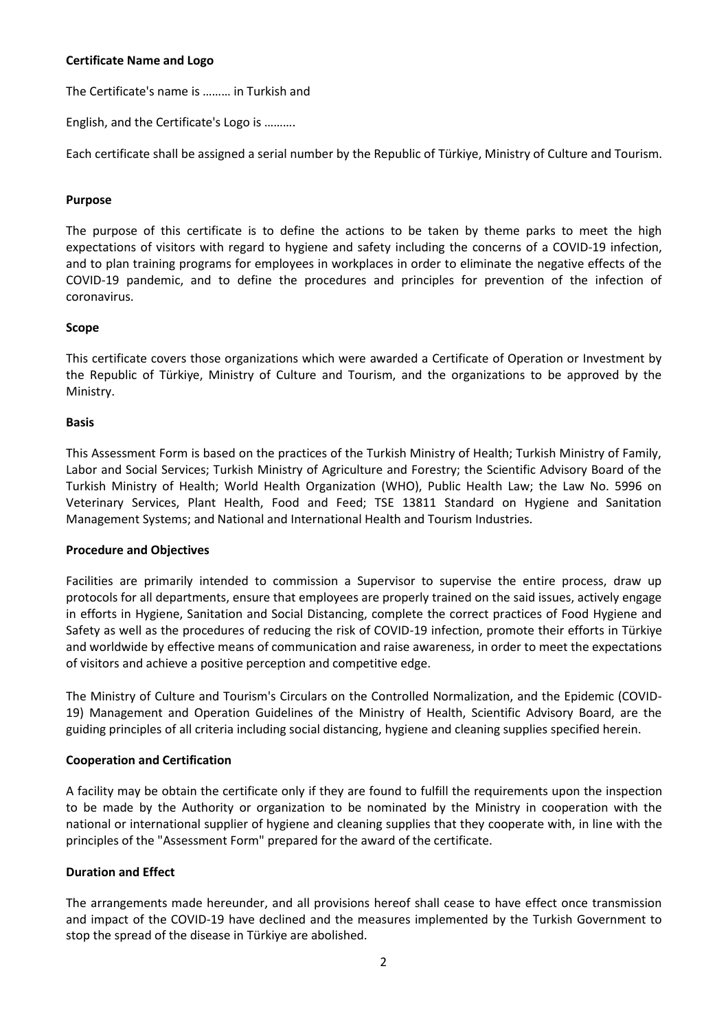## **Certificate Name and Logo**

The Certificate's name is ……… in Turkish and

English, and the Certificate's Logo is ……….

Each certificate shall be assigned a serial number by the Republic of Türkiye, Ministry of Culture and Tourism.

## **Purpose**

The purpose of this certificate is to define the actions to be taken by theme parks to meet the high expectations of visitors with regard to hygiene and safety including the concerns of a COVID-19 infection, and to plan training programs for employees in workplaces in order to eliminate the negative effects of the COVID-19 pandemic, and to define the procedures and principles for prevention of the infection of coronavirus.

## **Scope**

This certificate covers those organizations which were awarded a Certificate of Operation or Investment by the Republic of Türkiye, Ministry of Culture and Tourism, and the organizations to be approved by the Ministry.

#### **Basis**

This Assessment Form is based on the practices of the Turkish Ministry of Health; Turkish Ministry of Family, Labor and Social Services; Turkish Ministry of Agriculture and Forestry; the Scientific Advisory Board of the Turkish Ministry of Health; World Health Organization (WHO), Public Health Law; the Law No. 5996 on Veterinary Services, Plant Health, Food and Feed; TSE 13811 Standard on Hygiene and Sanitation Management Systems; and National and International Health and Tourism Industries.

## **Procedure and Objectives**

Facilities are primarily intended to commission a Supervisor to supervise the entire process, draw up protocols for all departments, ensure that employees are properly trained on the said issues, actively engage in efforts in Hygiene, Sanitation and Social Distancing, complete the correct practices of Food Hygiene and Safety as well as the procedures of reducing the risk of COVID-19 infection, promote their efforts in Türkiye and worldwide by effective means of communication and raise awareness, in order to meet the expectations of visitors and achieve a positive perception and competitive edge.

The Ministry of Culture and Tourism's Circulars on the Controlled Normalization, and the Epidemic (COVID-19) Management and Operation Guidelines of the Ministry of Health, Scientific Advisory Board, are the guiding principles of all criteria including social distancing, hygiene and cleaning supplies specified herein.

## **Cooperation and Certification**

A facility may be obtain the certificate only if they are found to fulfill the requirements upon the inspection to be made by the Authority or organization to be nominated by the Ministry in cooperation with the national or international supplier of hygiene and cleaning supplies that they cooperate with, in line with the principles of the "Assessment Form" prepared for the award of the certificate.

## **Duration and Effect**

The arrangements made hereunder, and all provisions hereof shall cease to have effect once transmission and impact of the COVID-19 have declined and the measures implemented by the Turkish Government to stop the spread of the disease in Türkiye are abolished.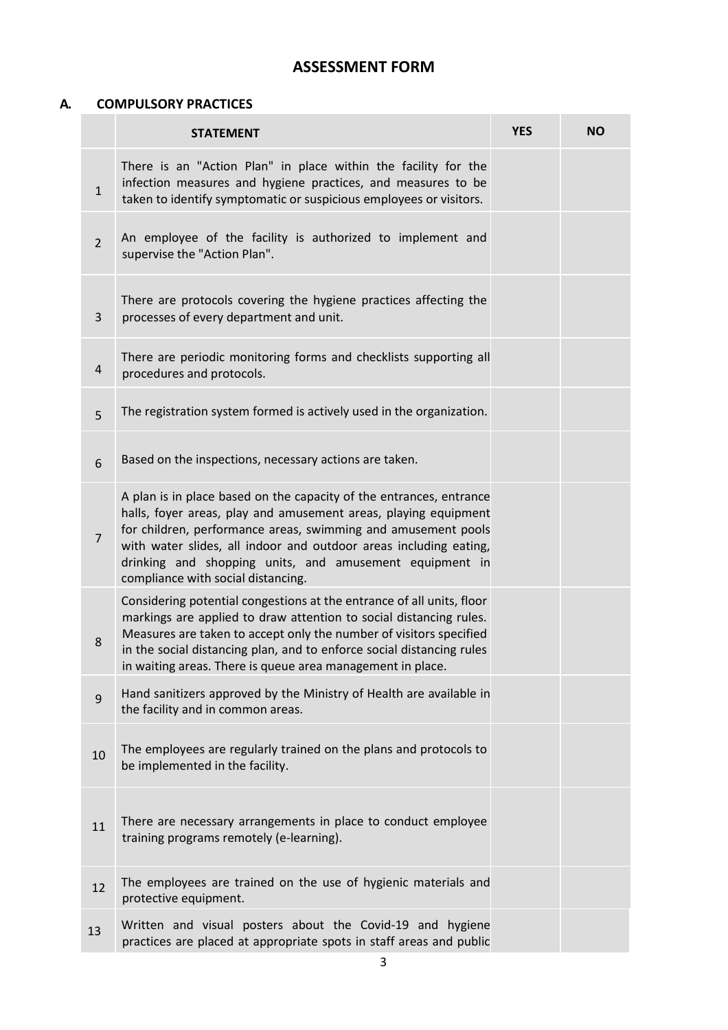# **ASSESSMENT FORM**

## **A. COMPULSORY PRACTICES**

|                | <b>STATEMENT</b>                                                                                                                                                                                                                                                                                                                                                              | <b>YES</b> | <b>NO</b> |
|----------------|-------------------------------------------------------------------------------------------------------------------------------------------------------------------------------------------------------------------------------------------------------------------------------------------------------------------------------------------------------------------------------|------------|-----------|
| $\mathbf{1}$   | There is an "Action Plan" in place within the facility for the<br>infection measures and hygiene practices, and measures to be<br>taken to identify symptomatic or suspicious employees or visitors.                                                                                                                                                                          |            |           |
| $\overline{2}$ | An employee of the facility is authorized to implement and<br>supervise the "Action Plan".                                                                                                                                                                                                                                                                                    |            |           |
| $\overline{3}$ | There are protocols covering the hygiene practices affecting the<br>processes of every department and unit.                                                                                                                                                                                                                                                                   |            |           |
| 4              | There are periodic monitoring forms and checklists supporting all<br>procedures and protocols.                                                                                                                                                                                                                                                                                |            |           |
| 5              | The registration system formed is actively used in the organization.                                                                                                                                                                                                                                                                                                          |            |           |
| 6              | Based on the inspections, necessary actions are taken.                                                                                                                                                                                                                                                                                                                        |            |           |
| $\overline{7}$ | A plan is in place based on the capacity of the entrances, entrance<br>halls, foyer areas, play and amusement areas, playing equipment<br>for children, performance areas, swimming and amusement pools<br>with water slides, all indoor and outdoor areas including eating,<br>drinking and shopping units, and amusement equipment in<br>compliance with social distancing. |            |           |
| 8              | Considering potential congestions at the entrance of all units, floor<br>markings are applied to draw attention to social distancing rules.<br>Measures are taken to accept only the number of visitors specified<br>in the social distancing plan, and to enforce social distancing rules<br>in waiting areas. There is queue area management in place.                      |            |           |
| 9              | Hand sanitizers approved by the Ministry of Health are available in<br>the facility and in common areas.                                                                                                                                                                                                                                                                      |            |           |
| 10             | The employees are regularly trained on the plans and protocols to<br>be implemented in the facility.                                                                                                                                                                                                                                                                          |            |           |
| 11             | There are necessary arrangements in place to conduct employee<br>training programs remotely (e-learning).                                                                                                                                                                                                                                                                     |            |           |
| 12             | The employees are trained on the use of hygienic materials and<br>protective equipment.                                                                                                                                                                                                                                                                                       |            |           |
| 13             | Written and visual posters about the Covid-19 and hygiene<br>practices are placed at appropriate spots in staff areas and public                                                                                                                                                                                                                                              |            |           |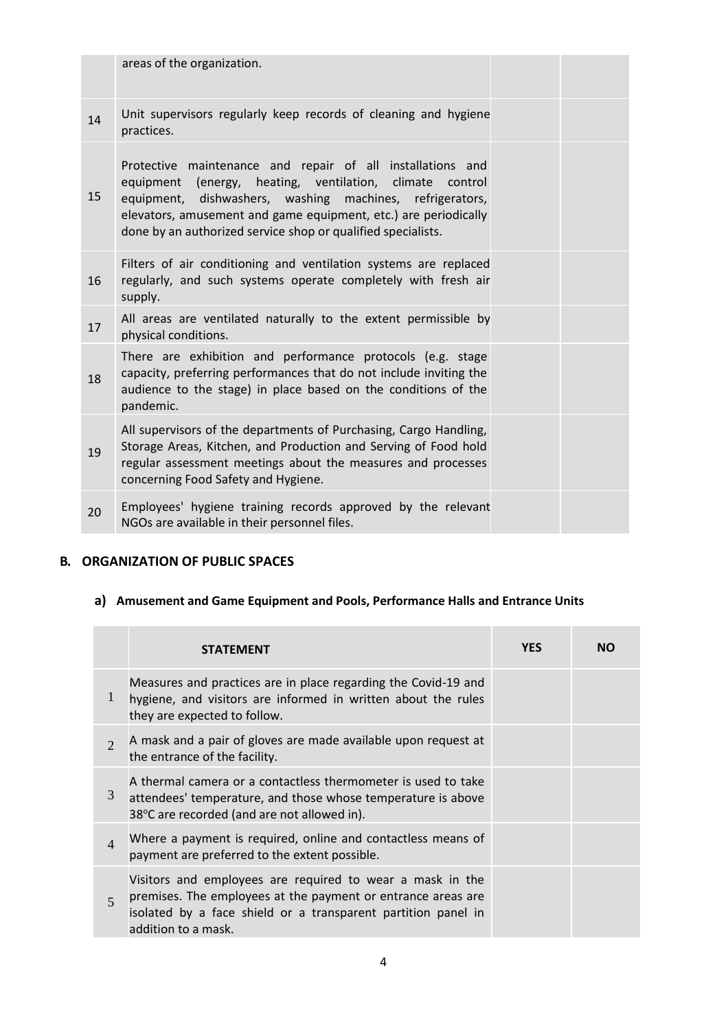|    | areas of the organization.                                                                                                                                                                                                                                                                                            |
|----|-----------------------------------------------------------------------------------------------------------------------------------------------------------------------------------------------------------------------------------------------------------------------------------------------------------------------|
| 14 | Unit supervisors regularly keep records of cleaning and hygiene<br>practices.                                                                                                                                                                                                                                         |
| 15 | Protective maintenance and repair of all installations and<br>equipment (energy, heating, ventilation, climate control<br>equipment, dishwashers, washing machines, refrigerators,<br>elevators, amusement and game equipment, etc.) are periodically<br>done by an authorized service shop or qualified specialists. |
| 16 | Filters of air conditioning and ventilation systems are replaced<br>regularly, and such systems operate completely with fresh air<br>supply.                                                                                                                                                                          |
| 17 | All areas are ventilated naturally to the extent permissible by<br>physical conditions.                                                                                                                                                                                                                               |
| 18 | There are exhibition and performance protocols (e.g. stage<br>capacity, preferring performances that do not include inviting the<br>audience to the stage) in place based on the conditions of the<br>pandemic.                                                                                                       |
| 19 | All supervisors of the departments of Purchasing, Cargo Handling,<br>Storage Areas, Kitchen, and Production and Serving of Food hold<br>regular assessment meetings about the measures and processes<br>concerning Food Safety and Hygiene.                                                                           |
| 20 | Employees' hygiene training records approved by the relevant<br>NGOs are available in their personnel files.                                                                                                                                                                                                          |

## **B. ORGANIZATION OF PUBLIC SPACES**

# **a) Amusement and Game Equipment and Pools, Performance Halls and Entrance Units**

|                             | <b>STATEMENT</b>                                                                                                                                                                                                  | <b>YES</b> | NΟ |
|-----------------------------|-------------------------------------------------------------------------------------------------------------------------------------------------------------------------------------------------------------------|------------|----|
| 1                           | Measures and practices are in place regarding the Covid-19 and<br>hygiene, and visitors are informed in written about the rules<br>they are expected to follow.                                                   |            |    |
| $\mathcal{D}_{\mathcal{L}}$ | A mask and a pair of gloves are made available upon request at<br>the entrance of the facility.                                                                                                                   |            |    |
| 3                           | A thermal camera or a contactless thermometer is used to take<br>attendees' temperature, and those whose temperature is above<br>38°C are recorded (and are not allowed in).                                      |            |    |
| $\overline{4}$              | Where a payment is required, online and contactless means of<br>payment are preferred to the extent possible.                                                                                                     |            |    |
| $\overline{5}$              | Visitors and employees are required to wear a mask in the<br>premises. The employees at the payment or entrance areas are<br>isolated by a face shield or a transparent partition panel in<br>addition to a mask. |            |    |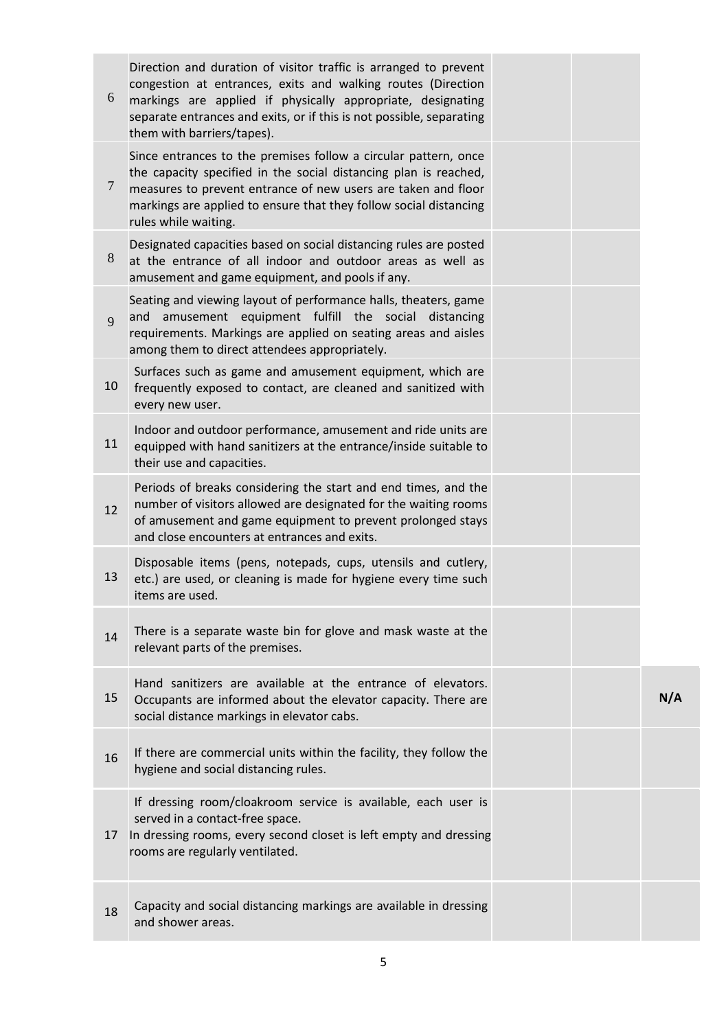| 6              | Direction and duration of visitor traffic is arranged to prevent<br>congestion at entrances, exits and walking routes (Direction<br>markings are applied if physically appropriate, designating<br>separate entrances and exits, or if this is not possible, separating<br>them with barriers/tapes). |  |     |
|----------------|-------------------------------------------------------------------------------------------------------------------------------------------------------------------------------------------------------------------------------------------------------------------------------------------------------|--|-----|
| $\overline{7}$ | Since entrances to the premises follow a circular pattern, once<br>the capacity specified in the social distancing plan is reached,<br>measures to prevent entrance of new users are taken and floor<br>markings are applied to ensure that they follow social distancing<br>rules while waiting.     |  |     |
| 8              | Designated capacities based on social distancing rules are posted<br>at the entrance of all indoor and outdoor areas as well as<br>amusement and game equipment, and pools if any.                                                                                                                    |  |     |
| 9              | Seating and viewing layout of performance halls, theaters, game<br>and amusement equipment fulfill the social distancing<br>requirements. Markings are applied on seating areas and aisles<br>among them to direct attendees appropriately.                                                           |  |     |
| 10             | Surfaces such as game and amusement equipment, which are<br>frequently exposed to contact, are cleaned and sanitized with<br>every new user.                                                                                                                                                          |  |     |
| 11             | Indoor and outdoor performance, amusement and ride units are<br>equipped with hand sanitizers at the entrance/inside suitable to<br>their use and capacities.                                                                                                                                         |  |     |
| 12             | Periods of breaks considering the start and end times, and the<br>number of visitors allowed are designated for the waiting rooms<br>of amusement and game equipment to prevent prolonged stays<br>and close encounters at entrances and exits.                                                       |  |     |
| 13             | Disposable items (pens, notepads, cups, utensils and cutlery,<br>etc.) are used, or cleaning is made for hygiene every time such<br>items are used.                                                                                                                                                   |  |     |
| 14             | There is a separate waste bin for glove and mask waste at the<br>relevant parts of the premises.                                                                                                                                                                                                      |  |     |
| 15             | Hand sanitizers are available at the entrance of elevators.<br>Occupants are informed about the elevator capacity. There are<br>social distance markings in elevator cabs.                                                                                                                            |  | N/A |
| 16             | If there are commercial units within the facility, they follow the<br>hygiene and social distancing rules.                                                                                                                                                                                            |  |     |
| 17             | If dressing room/cloakroom service is available, each user is<br>served in a contact-free space.<br>In dressing rooms, every second closet is left empty and dressing<br>rooms are regularly ventilated.                                                                                              |  |     |
| 18             | Capacity and social distancing markings are available in dressing<br>and shower areas.                                                                                                                                                                                                                |  |     |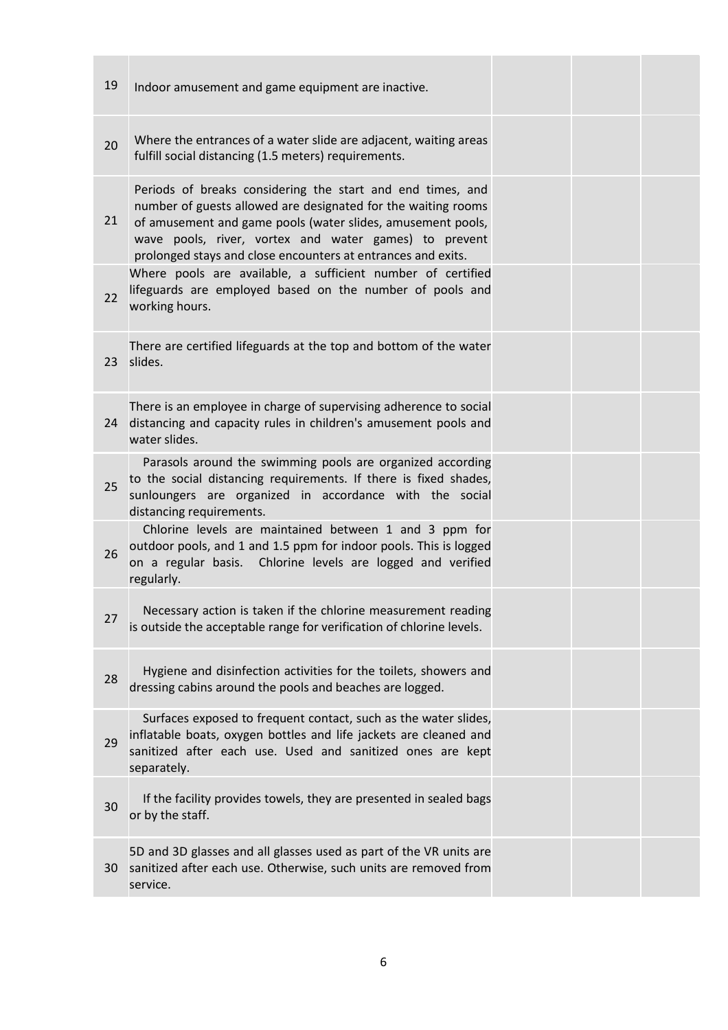| 19              | Indoor amusement and game equipment are inactive.                                                                                                                                                                                                                                                                   |  |  |
|-----------------|---------------------------------------------------------------------------------------------------------------------------------------------------------------------------------------------------------------------------------------------------------------------------------------------------------------------|--|--|
| 20              | Where the entrances of a water slide are adjacent, waiting areas<br>fulfill social distancing (1.5 meters) requirements.                                                                                                                                                                                            |  |  |
| 21              | Periods of breaks considering the start and end times, and<br>number of guests allowed are designated for the waiting rooms<br>of amusement and game pools (water slides, amusement pools,<br>wave pools, river, vortex and water games) to prevent<br>prolonged stays and close encounters at entrances and exits. |  |  |
| 22              | Where pools are available, a sufficient number of certified<br>lifeguards are employed based on the number of pools and<br>working hours.                                                                                                                                                                           |  |  |
| 23              | There are certified lifeguards at the top and bottom of the water<br>slides.                                                                                                                                                                                                                                        |  |  |
| 24              | There is an employee in charge of supervising adherence to social<br>distancing and capacity rules in children's amusement pools and<br>water slides.                                                                                                                                                               |  |  |
| 25              | Parasols around the swimming pools are organized according<br>to the social distancing requirements. If there is fixed shades,<br>sunloungers are organized in accordance with the social<br>distancing requirements.                                                                                               |  |  |
| 26              | Chlorine levels are maintained between 1 and 3 ppm for<br>outdoor pools, and 1 and 1.5 ppm for indoor pools. This is logged<br>on a regular basis. Chlorine levels are logged and verified<br>regularly.                                                                                                            |  |  |
| 27              | Necessary action is taken if the chlorine measurement reading<br>is outside the acceptable range for verification of chlorine levels.                                                                                                                                                                               |  |  |
| 28              | Hygiene and disinfection activities for the toilets, showers and<br>dressing cabins around the pools and beaches are logged.                                                                                                                                                                                        |  |  |
| 29              | Surfaces exposed to frequent contact, such as the water slides,<br>inflatable boats, oxygen bottles and life jackets are cleaned and<br>sanitized after each use. Used and sanitized ones are kept<br>separately.                                                                                                   |  |  |
| 30              | If the facility provides towels, they are presented in sealed bags<br>or by the staff.                                                                                                                                                                                                                              |  |  |
| 30 <sup>°</sup> | 5D and 3D glasses and all glasses used as part of the VR units are<br>sanitized after each use. Otherwise, such units are removed from<br>service.                                                                                                                                                                  |  |  |
|                 |                                                                                                                                                                                                                                                                                                                     |  |  |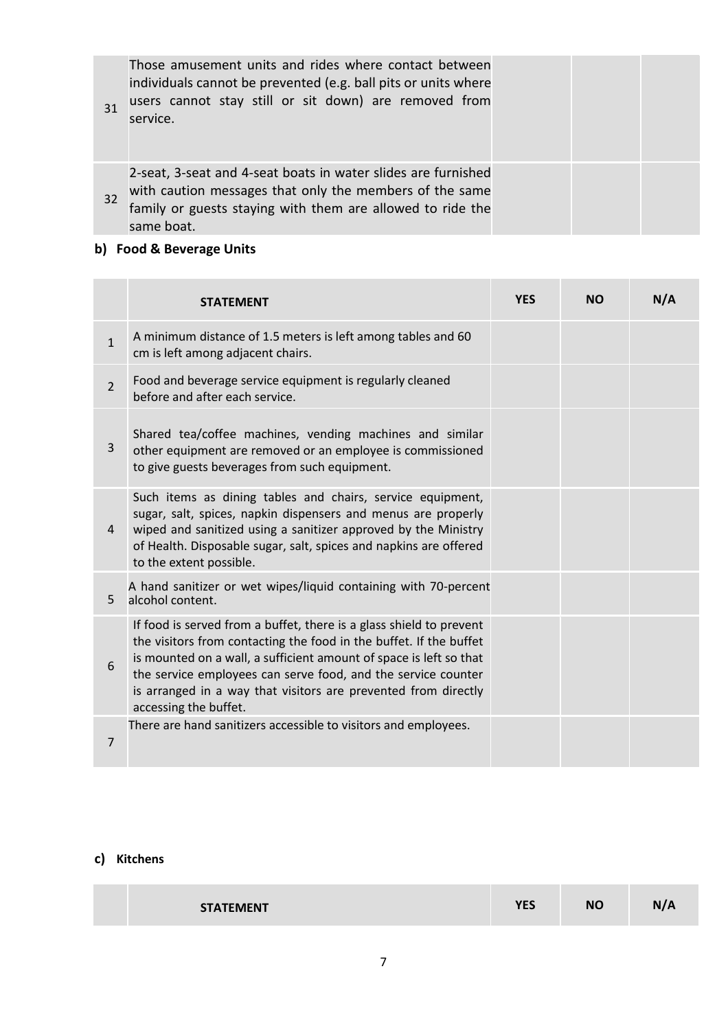Those amusement units and rides where contact between individuals cannot be prevented (e.g. ball pits or units where users cannot stay still or sit down) are removed from service.

32 2-seat, 3-seat and 4-seat boats in water slides are furnished with caution messages that only the members of the same family or guests staying with them are allowed to ride the same boat.

## **b) Food & Beverage Units**

31

**Contract** 

|                | <b>STATEMENT</b>                                                                                                                                                                                                                                                                                                                                                            | <b>YES</b> | <b>NO</b> | N/A |
|----------------|-----------------------------------------------------------------------------------------------------------------------------------------------------------------------------------------------------------------------------------------------------------------------------------------------------------------------------------------------------------------------------|------------|-----------|-----|
| $\mathbf{1}$   | A minimum distance of 1.5 meters is left among tables and 60<br>cm is left among adjacent chairs.                                                                                                                                                                                                                                                                           |            |           |     |
| $\overline{2}$ | Food and beverage service equipment is regularly cleaned<br>before and after each service.                                                                                                                                                                                                                                                                                  |            |           |     |
| 3              | Shared tea/coffee machines, vending machines and similar<br>other equipment are removed or an employee is commissioned<br>to give guests beverages from such equipment.                                                                                                                                                                                                     |            |           |     |
| 4              | Such items as dining tables and chairs, service equipment,<br>sugar, salt, spices, napkin dispensers and menus are properly<br>wiped and sanitized using a sanitizer approved by the Ministry<br>of Health. Disposable sugar, salt, spices and napkins are offered<br>to the extent possible.                                                                               |            |           |     |
| 5              | A hand sanitizer or wet wipes/liquid containing with 70-percent<br>alcohol content.                                                                                                                                                                                                                                                                                         |            |           |     |
| 6              | If food is served from a buffet, there is a glass shield to prevent<br>the visitors from contacting the food in the buffet. If the buffet<br>is mounted on a wall, a sufficient amount of space is left so that<br>the service employees can serve food, and the service counter<br>is arranged in a way that visitors are prevented from directly<br>accessing the buffet. |            |           |     |
| 7              | There are hand sanitizers accessible to visitors and employees.                                                                                                                                                                                                                                                                                                             |            |           |     |

## **c) Kitchens**

| <b>STATEMENT</b> | rrc<br>د ب |  |
|------------------|------------|--|
|                  |            |  |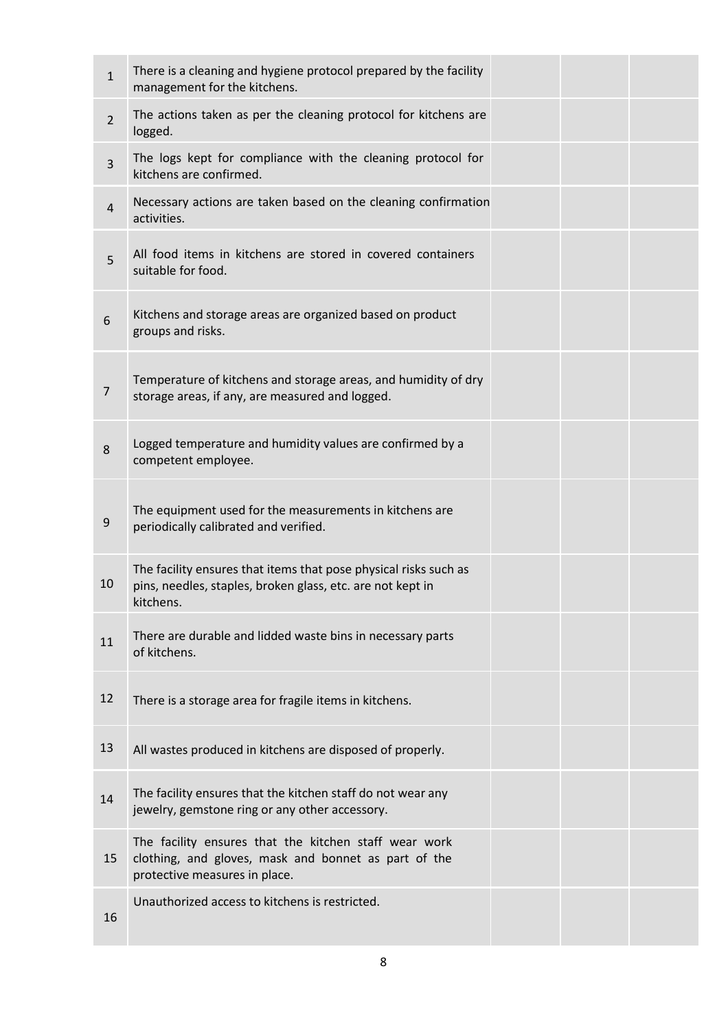| $\mathbf{1}$   | There is a cleaning and hygiene protocol prepared by the facility<br>management for the kitchens.                                              |  |  |
|----------------|------------------------------------------------------------------------------------------------------------------------------------------------|--|--|
| $\overline{2}$ | The actions taken as per the cleaning protocol for kitchens are<br>logged.                                                                     |  |  |
| $\overline{3}$ | The logs kept for compliance with the cleaning protocol for<br>kitchens are confirmed.                                                         |  |  |
| $\overline{4}$ | Necessary actions are taken based on the cleaning confirmation<br>activities.                                                                  |  |  |
| 5              | All food items in kitchens are stored in covered containers<br>suitable for food.                                                              |  |  |
| 6              | Kitchens and storage areas are organized based on product<br>groups and risks.                                                                 |  |  |
| $\overline{7}$ | Temperature of kitchens and storage areas, and humidity of dry<br>storage areas, if any, are measured and logged.                              |  |  |
| 8              | Logged temperature and humidity values are confirmed by a<br>competent employee.                                                               |  |  |
| 9              | The equipment used for the measurements in kitchens are<br>periodically calibrated and verified.                                               |  |  |
| 10             | The facility ensures that items that pose physical risks such as<br>pins, needles, staples, broken glass, etc. are not kept in<br>kitchens.    |  |  |
| 11             | There are durable and lidded waste bins in necessary parts<br>of kitchens.                                                                     |  |  |
| 12             | There is a storage area for fragile items in kitchens.                                                                                         |  |  |
| 13             | All wastes produced in kitchens are disposed of properly.                                                                                      |  |  |
| 14             | The facility ensures that the kitchen staff do not wear any<br>jewelry, gemstone ring or any other accessory.                                  |  |  |
| 15             | The facility ensures that the kitchen staff wear work<br>clothing, and gloves, mask and bonnet as part of the<br>protective measures in place. |  |  |
| 16             | Unauthorized access to kitchens is restricted.                                                                                                 |  |  |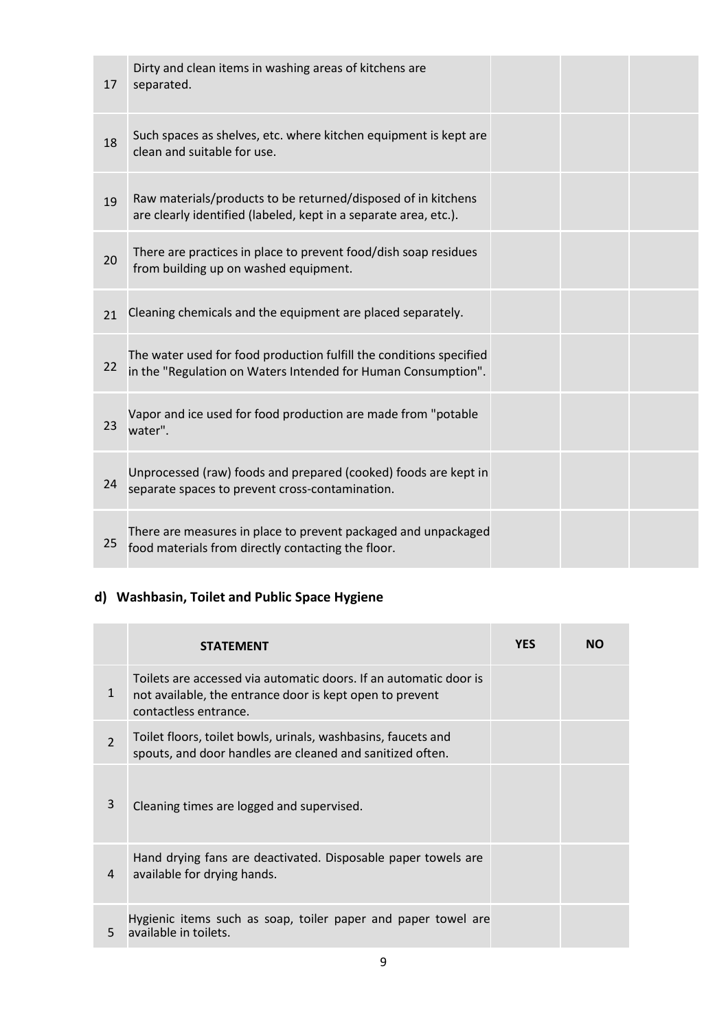| 17 | Dirty and clean items in washing areas of kitchens are<br>separated.                                                                 |  |  |
|----|--------------------------------------------------------------------------------------------------------------------------------------|--|--|
| 18 | Such spaces as shelves, etc. where kitchen equipment is kept are<br>clean and suitable for use.                                      |  |  |
| 19 | Raw materials/products to be returned/disposed of in kitchens<br>are clearly identified (labeled, kept in a separate area, etc.).    |  |  |
| 20 | There are practices in place to prevent food/dish soap residues<br>from building up on washed equipment.                             |  |  |
| 21 | Cleaning chemicals and the equipment are placed separately.                                                                          |  |  |
| 22 | The water used for food production fulfill the conditions specified<br>in the "Regulation on Waters Intended for Human Consumption". |  |  |
| 23 | Vapor and ice used for food production are made from "potable<br>water".                                                             |  |  |
| 24 | Unprocessed (raw) foods and prepared (cooked) foods are kept in<br>separate spaces to prevent cross-contamination.                   |  |  |
| 25 | There are measures in place to prevent packaged and unpackaged<br>food materials from directly contacting the floor.                 |  |  |

**College** 

**College** 

# **d) Washbasin, Toilet and Public Space Hygiene**

|                | <b>STATEMENT</b>                                                                                                                                       | <b>YES</b> | NΟ |
|----------------|--------------------------------------------------------------------------------------------------------------------------------------------------------|------------|----|
| $\mathbf{1}$   | Toilets are accessed via automatic doors. If an automatic door is<br>not available, the entrance door is kept open to prevent<br>contactless entrance. |            |    |
| $\overline{2}$ | Toilet floors, toilet bowls, urinals, washbasins, faucets and<br>spouts, and door handles are cleaned and sanitized often.                             |            |    |
| 3              | Cleaning times are logged and supervised.                                                                                                              |            |    |
| 4              | Hand drying fans are deactivated. Disposable paper towels are<br>available for drying hands.                                                           |            |    |
| 5              | Hygienic items such as soap, toiler paper and paper towel are<br>available in toilets.                                                                 |            |    |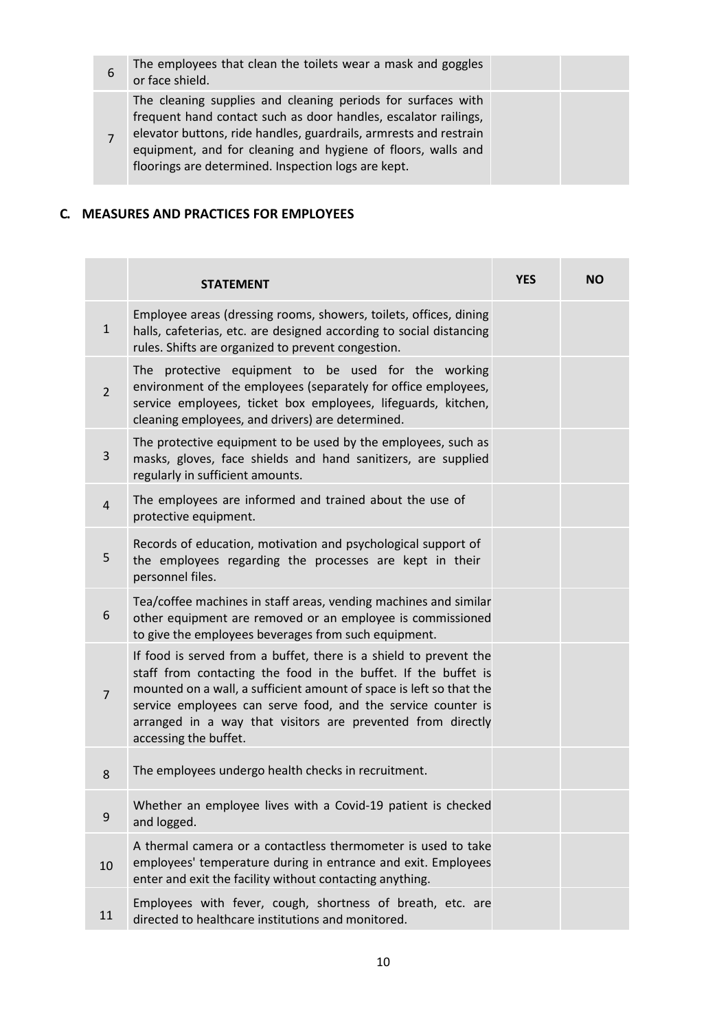| 6 | The employees that clean the toilets wear a mask and goggles<br>or face shield.                                                                                                                                                                                                                                             |  |
|---|-----------------------------------------------------------------------------------------------------------------------------------------------------------------------------------------------------------------------------------------------------------------------------------------------------------------------------|--|
|   | The cleaning supplies and cleaning periods for surfaces with<br>frequent hand contact such as door handles, escalator railings,<br>elevator buttons, ride handles, guardrails, armrests and restrain<br>equipment, and for cleaning and hygiene of floors, walls and<br>floorings are determined. Inspection logs are kept. |  |

## **C. MEASURES AND PRACTICES FOR EMPLOYEES**

|                | <b>STATEMENT</b>                                                                                                                                                                                                                                                                                                                                                   | <b>YES</b> | <b>NO</b> |
|----------------|--------------------------------------------------------------------------------------------------------------------------------------------------------------------------------------------------------------------------------------------------------------------------------------------------------------------------------------------------------------------|------------|-----------|
| $\mathbf{1}$   | Employee areas (dressing rooms, showers, toilets, offices, dining<br>halls, cafeterias, etc. are designed according to social distancing<br>rules. Shifts are organized to prevent congestion.                                                                                                                                                                     |            |           |
| $\overline{2}$ | protective equipment to be used for the working<br>The<br>environment of the employees (separately for office employees,<br>service employees, ticket box employees, lifeguards, kitchen,<br>cleaning employees, and drivers) are determined.                                                                                                                      |            |           |
| 3              | The protective equipment to be used by the employees, such as<br>masks, gloves, face shields and hand sanitizers, are supplied<br>regularly in sufficient amounts.                                                                                                                                                                                                 |            |           |
| $\overline{4}$ | The employees are informed and trained about the use of<br>protective equipment.                                                                                                                                                                                                                                                                                   |            |           |
| 5              | Records of education, motivation and psychological support of<br>the employees regarding the processes are kept in their<br>personnel files.                                                                                                                                                                                                                       |            |           |
| 6              | Tea/coffee machines in staff areas, vending machines and similar<br>other equipment are removed or an employee is commissioned<br>to give the employees beverages from such equipment.                                                                                                                                                                             |            |           |
| $\overline{7}$ | If food is served from a buffet, there is a shield to prevent the<br>staff from contacting the food in the buffet. If the buffet is<br>mounted on a wall, a sufficient amount of space is left so that the<br>service employees can serve food, and the service counter is<br>arranged in a way that visitors are prevented from directly<br>accessing the buffet. |            |           |
| 8              | The employees undergo health checks in recruitment.                                                                                                                                                                                                                                                                                                                |            |           |
| 9              | Whether an employee lives with a Covid-19 patient is checked<br>and logged.                                                                                                                                                                                                                                                                                        |            |           |
| 10             | A thermal camera or a contactless thermometer is used to take<br>employees' temperature during in entrance and exit. Employees<br>enter and exit the facility without contacting anything.                                                                                                                                                                         |            |           |
| 11             | Employees with fever, cough, shortness of breath, etc. are<br>directed to healthcare institutions and monitored.                                                                                                                                                                                                                                                   |            |           |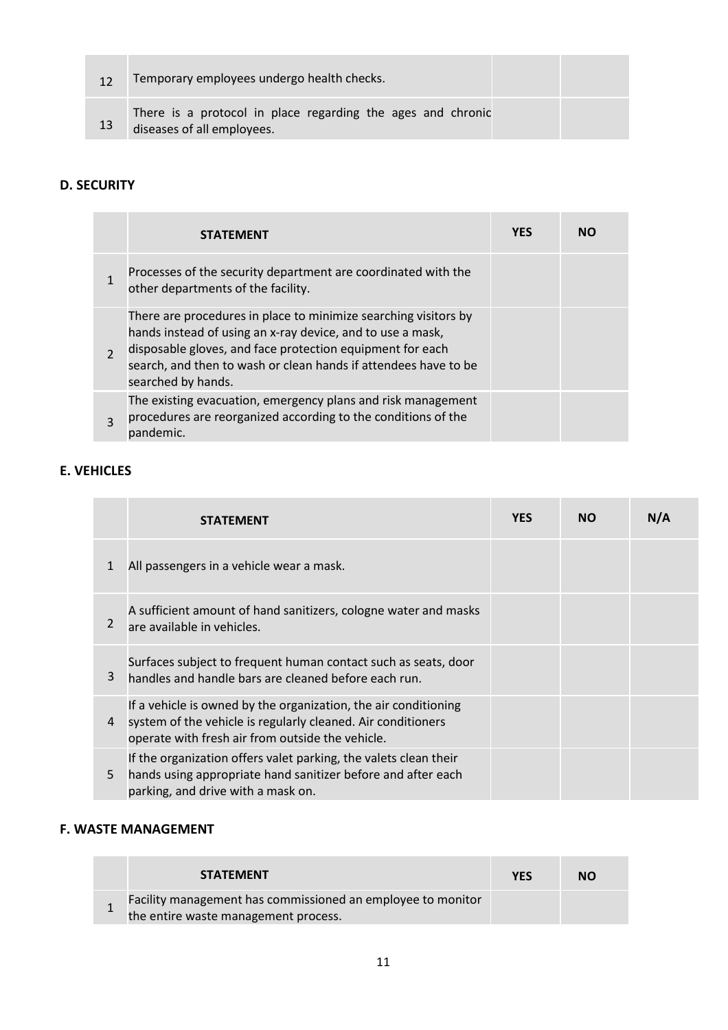|    | Temporary employees undergo health checks.                                                |  |
|----|-------------------------------------------------------------------------------------------|--|
| 13 | There is a protocol in place regarding the ages and chronic<br>diseases of all employees. |  |

# **D. SECURITY**

|               | <b>STATEMENT</b>                                                                                                                                                                                                                                                                    | <b>YES</b> | NΟ |
|---------------|-------------------------------------------------------------------------------------------------------------------------------------------------------------------------------------------------------------------------------------------------------------------------------------|------------|----|
|               | Processes of the security department are coordinated with the<br>other departments of the facility.                                                                                                                                                                                 |            |    |
| $\mathcal{P}$ | There are procedures in place to minimize searching visitors by<br>hands instead of using an x-ray device, and to use a mask,<br>disposable gloves, and face protection equipment for each<br>search, and then to wash or clean hands if attendees have to be<br>searched by hands. |            |    |
| $\mathbf{R}$  | The existing evacuation, emergency plans and risk management<br>procedures are reorganized according to the conditions of the<br>pandemic.                                                                                                                                          |            |    |

# **E. VEHICLES**

|              | <b>STATEMENT</b>                                                                                                                                                                    | <b>YES</b> | <b>NO</b> | N/A |
|--------------|-------------------------------------------------------------------------------------------------------------------------------------------------------------------------------------|------------|-----------|-----|
| $\mathbf{1}$ | All passengers in a vehicle wear a mask.                                                                                                                                            |            |           |     |
| 2            | A sufficient amount of hand sanitizers, cologne water and masks<br>are available in vehicles.                                                                                       |            |           |     |
| 3            | Surfaces subject to frequent human contact such as seats, door<br>handles and handle bars are cleaned before each run.                                                              |            |           |     |
| 4            | If a vehicle is owned by the organization, the air conditioning<br>system of the vehicle is regularly cleaned. Air conditioners<br>operate with fresh air from outside the vehicle. |            |           |     |
| 5            | If the organization offers valet parking, the valets clean their<br>hands using appropriate hand sanitizer before and after each<br>parking, and drive with a mask on.              |            |           |     |

# **F. WASTE MANAGEMENT**

| <b>STATEMENT</b>                                                                                    | <b>YFS</b> | <b>NO</b> |
|-----------------------------------------------------------------------------------------------------|------------|-----------|
| Facility management has commissioned an employee to monitor<br>the entire waste management process. |            |           |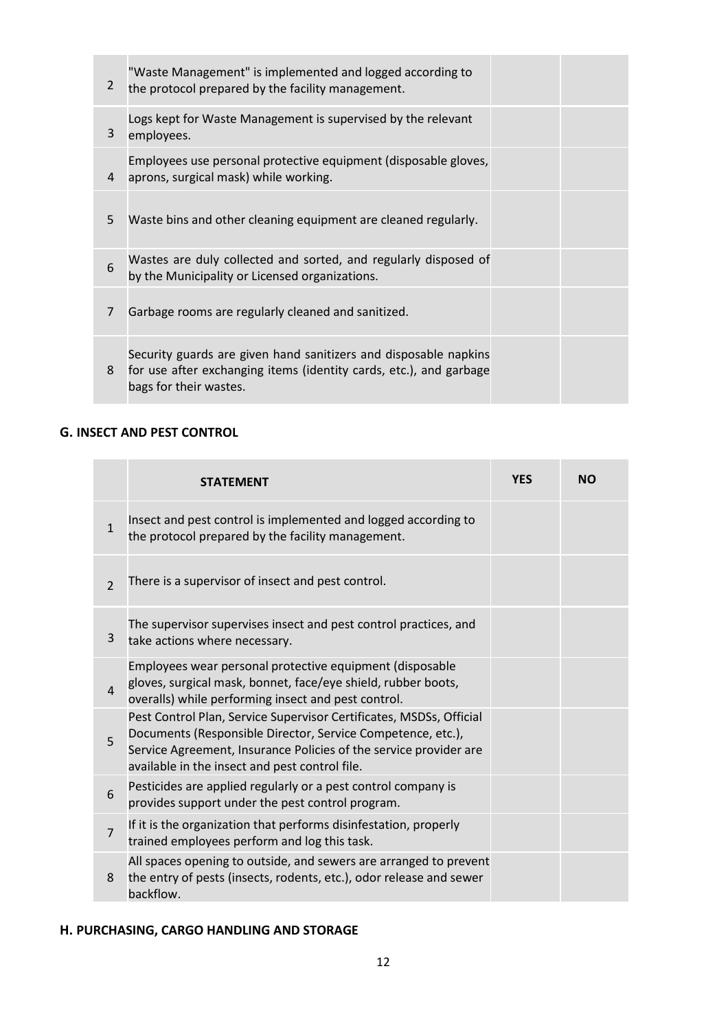| $\overline{2}$ | "Waste Management" is implemented and logged according to<br>the protocol prepared by the facility management.                                                   |  |
|----------------|------------------------------------------------------------------------------------------------------------------------------------------------------------------|--|
| 3              | Logs kept for Waste Management is supervised by the relevant<br>employees.                                                                                       |  |
| 4              | Employees use personal protective equipment (disposable gloves,<br>aprons, surgical mask) while working.                                                         |  |
| 5              | Waste bins and other cleaning equipment are cleaned regularly.                                                                                                   |  |
| 6              | Wastes are duly collected and sorted, and regularly disposed of<br>by the Municipality or Licensed organizations.                                                |  |
| $\overline{7}$ | Garbage rooms are regularly cleaned and sanitized.                                                                                                               |  |
| 8              | Security guards are given hand sanitizers and disposable napkins<br>for use after exchanging items (identity cards, etc.), and garbage<br>bags for their wastes. |  |

# **G. INSECT AND PEST CONTROL**

|                | <b>STATEMENT</b>                                                                                                                                                                                                                                          | <b>YES</b> | <b>NO</b> |
|----------------|-----------------------------------------------------------------------------------------------------------------------------------------------------------------------------------------------------------------------------------------------------------|------------|-----------|
| $\mathbf{1}$   | Insect and pest control is implemented and logged according to<br>the protocol prepared by the facility management.                                                                                                                                       |            |           |
| $\overline{2}$ | There is a supervisor of insect and pest control.                                                                                                                                                                                                         |            |           |
| 3              | The supervisor supervises insect and pest control practices, and<br>take actions where necessary.                                                                                                                                                         |            |           |
| $\overline{4}$ | Employees wear personal protective equipment (disposable<br>gloves, surgical mask, bonnet, face/eye shield, rubber boots,<br>overalls) while performing insect and pest control.                                                                          |            |           |
| 5              | Pest Control Plan, Service Supervisor Certificates, MSDSs, Official<br>Documents (Responsible Director, Service Competence, etc.),<br>Service Agreement, Insurance Policies of the service provider are<br>available in the insect and pest control file. |            |           |
| 6              | Pesticides are applied regularly or a pest control company is<br>provides support under the pest control program.                                                                                                                                         |            |           |
| $\overline{7}$ | If it is the organization that performs disinfestation, properly<br>trained employees perform and log this task.                                                                                                                                          |            |           |
| 8              | All spaces opening to outside, and sewers are arranged to prevent<br>the entry of pests (insects, rodents, etc.), odor release and sewer<br>backflow.                                                                                                     |            |           |

# **H. PURCHASING, CARGO HANDLING AND STORAGE**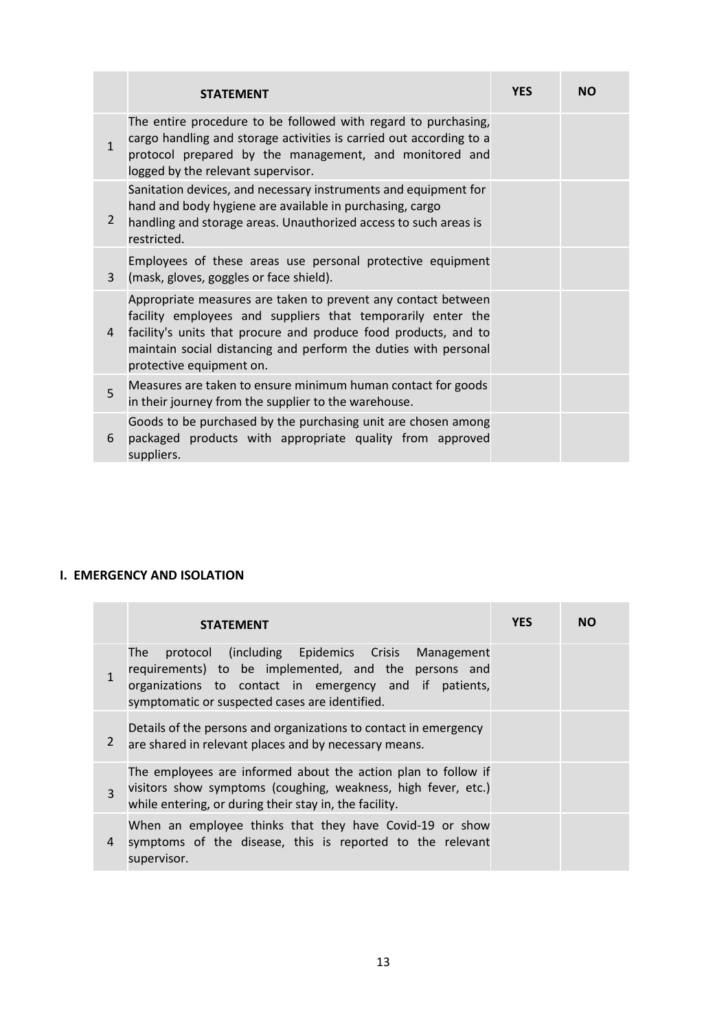|              | <b>STATEMENT</b>                                                                                                                                                                                                                                                                               | <b>YES</b> | <b>NO</b> |
|--------------|------------------------------------------------------------------------------------------------------------------------------------------------------------------------------------------------------------------------------------------------------------------------------------------------|------------|-----------|
| $\mathbf{1}$ | The entire procedure to be followed with regard to purchasing,<br>cargo handling and storage activities is carried out according to a<br>protocol prepared by the management, and monitored and<br>logged by the relevant supervisor.                                                          |            |           |
| 2            | Sanitation devices, and necessary instruments and equipment for<br>hand and body hygiene are available in purchasing, cargo<br>handling and storage areas. Unauthorized access to such areas is<br>restricted.                                                                                 |            |           |
| 3            | Employees of these areas use personal protective equipment<br>(mask, gloves, goggles or face shield).                                                                                                                                                                                          |            |           |
| 4            | Appropriate measures are taken to prevent any contact between<br>facility employees and suppliers that temporarily enter the<br>facility's units that procure and produce food products, and to<br>maintain social distancing and perform the duties with personal<br>protective equipment on. |            |           |
| 5            | Measures are taken to ensure minimum human contact for goods<br>in their journey from the supplier to the warehouse.                                                                                                                                                                           |            |           |
| 6            | Goods to be purchased by the purchasing unit are chosen among<br>packaged products with appropriate quality from approved<br>suppliers.                                                                                                                                                        |            |           |

# **I. EMERGENCY AND ISOLATION**

**Contract Contract** 

|                | <b>STATEMENT</b>                                                                                                                                                                                                           | <b>YES</b> | NΟ |
|----------------|----------------------------------------------------------------------------------------------------------------------------------------------------------------------------------------------------------------------------|------------|----|
|                | protocol (including Epidemics Crisis Management<br>The<br>requirements) to be implemented, and the persons and<br>organizations to contact in emergency and if patients,<br>symptomatic or suspected cases are identified. |            |    |
| $\overline{2}$ | Details of the persons and organizations to contact in emergency<br>are shared in relevant places and by necessary means.                                                                                                  |            |    |
| 3              | The employees are informed about the action plan to follow if<br>visitors show symptoms (coughing, weakness, high fever, etc.)<br>while entering, or during their stay in, the facility.                                   |            |    |
| 4              | When an employee thinks that they have Covid-19 or show<br>symptoms of the disease, this is reported to the relevant<br>supervisor.                                                                                        |            |    |